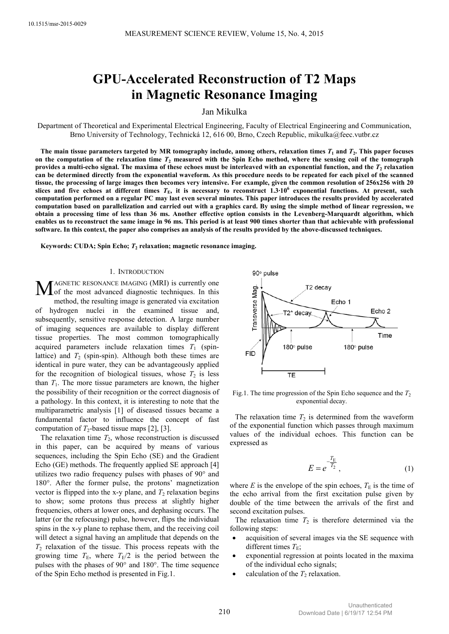# **GPU-Accelerated Reconstruction of T2 Maps in Magnetic Resonance Imaging**

Jan Mikulka

Department of Theoretical and Experimental Electrical Engineering, Faculty of Electrical Engineering and Communication, Brno University of Technology, Technická 12, 616 00, Brno, Czech Republic, mikulka@feec.vutbr.cz

The main tissue parameters targeted by MR tomography include, among others, relaxation times  $T_1$  and  $T_2$ . This paper focuses on the computation of the relaxation time  $T_2$  measured with the Spin Echo method, where the sensing coil of the tomograph provides a multi-echo signal. The maxima of these echoes must be interleaved with an exponential function, and the  $T_2$  relaxation **can be determined directly from the exponential waveform. As this procedure needs to be repeated for each pixel of the scanned tissue, the processing of large images then becomes very intensive. For example, given the common resolution of 256x256 with 20 slices and five echoes at different times** *T***E, it is necessary to reconstruct 1.3∙10<sup>6</sup> exponential functions. At present, such computation performed on a regular PC may last even several minutes. This paper introduces the results provided by accelerated computation based on parallelization and carried out with a graphics card. By using the simple method of linear regression, we obtain a processing time of less than 36 ms. Another effective option consists in the Levenberg-Marquardt algorithm, which enables us to reconstruct the same image in 96 ms. This period is at least 900 times shorter than that achievable with professional software. In this context, the paper also comprises an analysis of the results provided by the above-discussed techniques.** 

**Keywords: CUDA; Spin Echo;** *T***<sup>2</sup> relaxation; magnetic resonance imaging.** 

## 1. INTRODUCTION

AGNETIC RESONANCE IMAGING (MRI) is currently one MAGNETIC RESONANCE IMAGING (MRI) is currently one<br>of the most advanced diagnostic techniques. In this method, the resulting image is generated via excitation of hydrogen nuclei in the examined tissue and, subsequently, sensitive response detection. A large number of imaging sequences are available to display different tissue properties. The most common tomographically acquired parameters include relaxation times  $T_1$  (spinlattice) and  $T_2$  (spin-spin). Although both these times are identical in pure water, they can be advantageously applied for the recognition of biological tissues, whose  $T_2$  is less than  $T_1$ . The more tissue parameters are known, the higher the possibility of their recognition or the correct diagnosis of a pathology. In this context, it is interesting to note that the multiparametric analysis [1] of diseased tissues became a fundamental factor to influence the concept of fast computation of  $T_2$ -based tissue maps [2], [3].

The relaxation time  $T_2$ , whose reconstruction is discussed in this paper, can be acquired by means of various sequences, including the Spin Echo (SE) and the Gradient Echo (GE) methods. The frequently applied SE approach [4] utilizes two radio frequency pulses with phases of 90° and 180°. After the former pulse, the protons' magnetization vector is flipped into the x-y plane, and  $T_2$  relaxation begins to show; some protons thus precess at slightly higher frequencies, others at lower ones, and dephasing occurs. The latter (or the refocusing) pulse, however, flips the individual spins in the x-y plane to rephase them, and the receiving coil will detect a signal having an amplitude that depends on the  $T_2$  relaxation of the tissue. This process repeats with the growing time  $T_{\text{E}}$ , where  $T_{\text{E}}/2$  is the period between the pulses with the phases of 90° and 180°. The time sequence of the Spin Echo method is presented in Fig.1.



Fig.1. The time progression of the Spin Echo sequence and the  $T_2$ exponential decay.

The relaxation time  $T_2$  is determined from the waveform of the exponential function which passes through maximum values of the individual echoes. This function can be expressed as

$$
E = e^{-\frac{T_{\rm E}}{T_2}},\tag{1}
$$

where  $E$  is the envelope of the spin echoes,  $T<sub>E</sub>$  is the time of the echo arrival from the first excitation pulse given by double of the time between the arrivals of the first and second excitation pulses.

The relaxation time  $T_2$  is therefore determined via the following steps:

- acquisition of several images via the SE sequence with different times  $T<sub>E</sub>$ ;
- exponential regression at points located in the maxima of the individual echo signals;
- calculation of the  $T_2$  relaxation.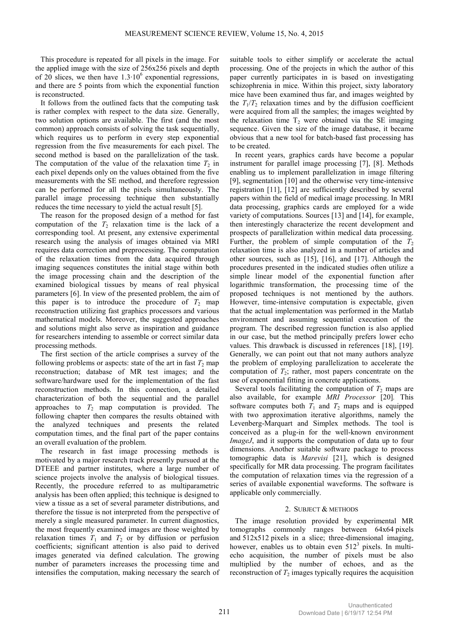This procedure is repeated for all pixels in the image. For the applied image with the size of 256x256 pixels and depth of 20 slices, we then have  $1.3 \cdot 10^6$  exponential regressions, and there are 5 points from which the exponential function is reconstructed.

It follows from the outlined facts that the computing task is rather complex with respect to the data size. Generally, two solution options are available. The first (and the most common) approach consists of solving the task sequentially, which requires us to perform in every step exponential regression from the five measurements for each pixel. The second method is based on the parallelization of the task. The computation of the value of the relaxation time  $T_2$  in each pixel depends only on the values obtained from the five measurements with the SE method, and therefore regression can be performed for all the pixels simultaneously. The parallel image processing technique then substantially reduces the time necessary to yield the actual result [5].

The reason for the proposed design of a method for fast computation of the  $T_2$  relaxation time is the lack of a corresponding tool. At present, any extensive experimental research using the analysis of images obtained via MRI requires data correction and preprocessing. The computation of the relaxation times from the data acquired through imaging sequences constitutes the initial stage within both the image processing chain and the description of the examined biological tissues by means of real physical parameters [6]. In view of the presented problem, the aim of this paper is to introduce the procedure of  $T_2$  map reconstruction utilizing fast graphics processors and various mathematical models. Moreover, the suggested approaches and solutions might also serve as inspiration and guidance for researchers intending to assemble or correct similar data processing methods.

The first section of the article comprises a survey of the following problems or aspects: state of the art in fast  $T_2$  map reconstruction; database of MR test images; and the software/hardware used for the implementation of the fast reconstruction methods. In this connection, a detailed characterization of both the sequential and the parallel approaches to  $T_2$  map computation is provided. The following chapter then compares the results obtained with the analyzed techniques and presents the related computation times, and the final part of the paper contains an overall evaluation of the problem.

The research in fast image processing methods is motivated by a major research track presently pursued at the DTEEE and partner institutes, where a large number of science projects involve the analysis of biological tissues. Recently, the procedure referred to as multiparametric analysis has been often applied; this technique is designed to view a tissue as a set of several parameter distributions, and therefore the tissue is not interpreted from the perspective of merely a single measured parameter. In current diagnostics, the most frequently examined images are those weighted by relaxation times  $T_1$  and  $T_2$  or by diffusion or perfusion coefficients; significant attention is also paid to derived images generated via defined calculation. The growing number of parameters increases the processing time and intensifies the computation, making necessary the search of

suitable tools to either simplify or accelerate the actual processing. One of the projects in which the author of this paper currently participates in is based on investigating schizophrenia in mice. Within this project, sixty laboratory mice have been examined thus far, and images weighted by the  $T_1/T_2$  relaxation times and by the diffusion coefficient were acquired from all the samples; the images weighted by the relaxation time  $T_2$  were obtained via the SE imaging sequence. Given the size of the image database, it became obvious that a new tool for batch-based fast processing has to be created.

In recent years, graphics cards have become a popular instrument for parallel image processing [7], [8]. Methods enabling us to implement parallelization in image filtering [9], segmentation [10] and the otherwise very time-intensive registration [11], [12] are sufficiently described by several papers within the field of medical image processing. In MRI data processing, graphics cards are employed for a wide variety of computations. Sources [13] and [14], for example, then interestingly characterize the recent development and prospects of parallelization within medical data processing. Further, the problem of simple computation of the  $T_2$ relaxation time is also analyzed in a number of articles and other sources, such as [15], [16], and [17]. Although the procedures presented in the indicated studies often utilize a simple linear model of the exponential function after logarithmic transformation, the processing time of the proposed techniques is not mentioned by the authors. However, time-intensive computation is expectable, given that the actual implementation was performed in the Matlab environment and assuming sequential execution of the program. The described regression function is also applied in our case, but the method principally prefers lower echo values. This drawback is discussed in references [18], [19]. Generally, we can point out that not many authors analyze the problem of employing parallelization to accelerate the computation of  $T_2$ ; rather, most papers concentrate on the use of exponential fitting in concrete applications.

Several tools facilitating the computation of  $T_2$  maps are also available, for example *MRI Processor* [20]*.* This software computes both  $T_1$  and  $T_2$  maps and is equipped with two approximation iterative algorithms, namely the Levenberg-Marquart and Simplex methods. The tool is conceived as a plug-in for the well-known environment *ImageJ*, and it supports the computation of data up to four dimensions. Another suitable software package to process tomographic data is *Marevisi* [21], which is designed specifically for MR data processing. The program facilitates the computation of relaxation times via the regression of a series of available exponential waveforms. The software is applicable only commercially.

# 2. SUBJECT & METHODS

The image resolution provided by experimental MR tomographs commonly ranges between 64x64 pixels and 512x512 pixels in a slice; three-dimensional imaging, however, enables us to obtain even  $512<sup>3</sup>$  pixels. In multiecho acquisition, the number of pixels must be also multiplied by the number of echoes, and as the reconstruction of  $T_2$  images typically requires the acquisition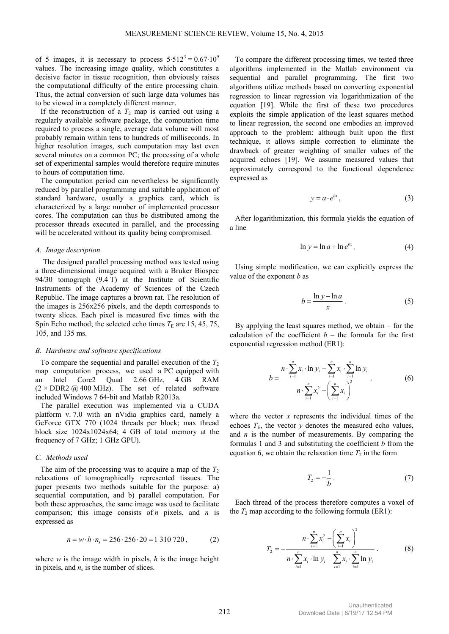of 5 images, it is necessary to process  $5.512^3 = 0.67 \cdot 10^9$ values. The increasing image quality, which constitutes a decisive factor in tissue recognition, then obviously raises the computational difficulty of the entire processing chain. Thus, the actual conversion of such large data volumes has to be viewed in a completely different manner.

If the reconstruction of a  $T_2$  map is carried out using a regularly available software package, the computation time required to process a single, average data volume will most probably remain within tens to hundreds of milliseconds. In higher resolution images, such computation may last even several minutes on a common PC; the processing of a whole set of experimental samples would therefore require minutes to hours of computation time.

The computation period can nevertheless be significantly reduced by parallel programming and suitable application of standard hardware, usually a graphics card, which is characterized by a large number of implemented processor cores. The computation can thus be distributed among the processor threads executed in parallel, and the processing will be accelerated without its quality being compromised.

## *A. Image description*

The designed parallel processing method was tested using a three-dimensional image acquired with a Bruker Biospec 94/30 tomograph (9.4 T) at the Institute of Scientific Instruments of the Academy of Sciences of the Czech Republic. The image captures a brown rat. The resolution of the images is 256x256 pixels, and the depth corresponds to twenty slices. Each pixel is measured five times with the Spin Echo method; the selected echo times  $T<sub>E</sub>$  are 15, 45, 75, 105, and 135 ms.

## *B. Hardware and software specifications*

To compare the sequential and parallel execution of the  $T_2$ map computation process, we used a PC equipped with an Intel Core2 Quad 2.66 GHz, 4 GB RAM  $(2 \times DDR2 \text{ } @$  400 MHz). The set of related software included Windows 7 64-bit and Matlab R2013a.

The parallel execution was implemented via a CUDA platform v. 7.0 with an nVidia graphics card, namely a GeForce GTX 770 (1024 threads per block; max thread block size 1024x1024x64; 4 GB of total memory at the frequency of 7 GHz; 1 GHz GPU).

#### *C. Methods used*

The aim of the processing was to acquire a map of the  $T_2$ relaxations of tomographically represented tissues. The paper presents two methods suitable for the purpose: a) sequential computation, and b) parallel computation. For both these approaches, the same image was used to facilitate comparison; this image consists of *n* pixels, and *n* is expressed as

$$
n = w \cdot h \cdot n_s = 256 \cdot 256 \cdot 20 = 1310720, \tag{2}
$$

where  $w$  is the image width in pixels,  $h$  is the image height in pixels, and  $n<sub>s</sub>$  is the number of slices.

To compare the different processing times, we tested three algorithms implemented in the Matlab environment via sequential and parallel programming. The first two algorithms utilize methods based on converting exponential regression to linear regression via logarithmization of the equation [19]. While the first of these two procedures exploits the simple application of the least squares method to linear regression, the second one embodies an improved approach to the problem: although built upon the first technique, it allows simple correction to eliminate the drawback of greater weighting of smaller values of the acquired echoes [19]. We assume measured values that approximately correspond to the functional dependence expressed as

$$
y = a \cdot e^{bx}, \tag{3}
$$

After logarithmization, this formula yields the equation of a line

$$
\ln y = \ln a + \ln e^{bx} \,. \tag{4}
$$

Using simple modification, we can explicitly express the value of the exponent *b* as

$$
b = \frac{\ln y - \ln a}{x}.
$$
 (5)

By applying the least squares method, we obtain – for the calculation of the coefficient  $b$  – the formula for the first exponential regression method (ER1):

$$
b = \frac{n \cdot \sum_{i=1}^{n} x_i \cdot \ln y_i - \sum_{i=1}^{n} x_i \cdot \sum_{i=1}^{n} \ln y_i}{n \cdot \sum_{i=1}^{n} x_i^2 - \left(\sum_{i=1}^{n} x_i\right)^2}.
$$
 (6)

where the vector *x* represents the individual times of the echoes  $T_{\text{E}}$ , the vector *y* denotes the measured echo values, and *n* is the number of measurements. By comparing the formulas 1 and 3 and substituting the coefficient *b* from the equation 6, we obtain the relaxation time  $T_2$  in the form

$$
T_2 = -\frac{1}{b} \,. \tag{7}
$$

Each thread of the process therefore computes a voxel of the  $T_2$  map according to the following formula (ER1):

$$
T_2 = -\frac{n \cdot \sum_{i=1}^n x_i^2 - \left(\sum_{i=1}^n x_i\right)^2}{n \cdot \sum_{i=1}^n x_i \cdot \ln y_i - \sum_{i=1}^n x_i \cdot \sum_{i=1}^n \ln y_i}.
$$
 (8)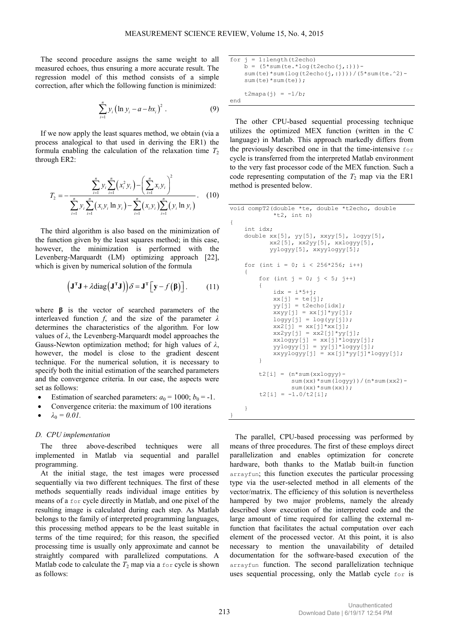The second procedure assigns the same weight to all measured echoes, thus ensuring a more accurate result. The regression model of this method consists of a simple correction, after which the following function is minimized:

$$
\sum_{i=1}^{n} y_i (\ln y_i - a - bx_i)^2.
$$
 (9)

If we now apply the least squares method, we obtain (via a process analogical to that used in deriving the ER1) the formula enabling the calculation of the relaxation time  $T_2$ through ER2:

$$
T_2 = -\frac{\sum_{i=1}^n y_i \sum_{i=1}^n (x_i^2 y_i) - (\sum_{i=1}^n x_i y_i)^2}{\sum_{i=1}^n y_i \sum_{i=1}^n (x_i y_i \ln y_i) - \sum_{i=1}^n (x_i y_i) \sum_{i=1}^n (y_i \ln y_i)}.
$$
 (10)

The third algorithm is also based on the minimization of the function given by the least squares method; in this case, however, the minimization is performed with the Levenberg-Marquardt (LM) optimizing approach [22], which is given by numerical solution of the formula

$$
\left(\mathbf{J}^{\mathrm{T}}\mathbf{J} + \lambda \mathrm{diag}\left(\mathbf{J}^{\mathrm{T}}\mathbf{J}\right)\right)\delta = \mathbf{J}^{\mathrm{T}}\left[\mathbf{y} - f\left(\boldsymbol{\beta}\right)\right].\tag{11}
$$

where **β** is the vector of searched parameters of the interleaved function *f*, and the size of the parameter *λ* determines the characteristics of the algorithm. For low values of *λ*, the Levenberg-Marquardt model approaches the Gauss-Newton optimization method; for high values of *λ*, however, the model is close to the gradient descent technique. For the numerical solution, it is necessary to specify both the initial estimation of the searched parameters and the convergence criteria. In our case, the aspects were set as follows:

- Estimation of searched parameters:  $a_0 = 1000$ ;  $b_0 = -1$ .
- Convergence criteria: the maximum of 100 iterations
- $\lambda_0 = 0.01$ .

#### *D. CPU implementation*

The three above-described techniques were all implemented in Matlab via sequential and parallel programming.

At the initial stage, the test images were processed sequentially via two different techniques. The first of these methods sequentially reads individual image entities by means of a for cycle directly in Matlab, and one pixel of the resulting image is calculated during each step. As Matlab belongs to the family of interpreted programming languages, this processing method appears to be the least suitable in terms of the time required; for this reason, the specified processing time is usually only approximate and cannot be straightly compared with parallelized computations. A Matlab code to calculate the  $T_2$  map via a for cycle is shown as follows:

```
for j = 1: length (t2echo)
    b = (5 * sum(te. * log(t2echo(j, :))) - sum(te)*sum(log(t2echo(j,:))))/(5*sum(te.^2)- 
     sum(te)*sum(te));
    t2mapa(j) = -1/b;
end
```
The other CPU-based sequential processing technique utilizes the optimized MEX function (written in the C language) in Matlab. This approach markedly differs from the previously described one in that the time-intensive for cycle is transferred from the interpreted Matlab environment to the very fast processor code of the MEX function. Such a code representing computation of the  $T_2$  map via the ER1 method is presented below.

```
void compT2(double *te, double *t2echo, double 
             *t2, int n)
{
     int idx;
     double xx[5], yy[5], xxyy[5], logyy[5], 
            xx2[5], xx2yy[5], xxlogyy[5], 
            yylogyy[5], xxyylogyy[5];
    for (int i = 0; i < 256*256; i++)
\left\{\begin{array}{ccc} \end{array}\right\}for (int j = 0; j < 5; j++)\{idx = i*5+j;xx[j] = te[j];yy[j] = t2echo[idx];xxyy[j] = xx[j]*yy[j];logyy[j] = log(yy[j]);xx2[j] = xx[j]*xx[j];xx2yy[j] = xx2[j]*yy[j];xxlogyy[j] = xx[j]*logyy[j]; yylogyy[j] = yy[j]*logyy[j];
             xxyylogyy[j] = xx[j]*yy[j]*logyy[j];
 }
        t2[i] = (n * sum(xxlogyy) - sum(xx)*sum(logyy))/(n*sum(xx2)- 
                 sum(xx)*sum(xx));
        t2[i] = -1.0/t2[i]; } 
}
```
The parallel, CPU-based processing was performed by means of three procedures. The first of these employs direct parallelization and enables optimization for concrete hardware, both thanks to the Matlab built-in function arrayfun; this function executes the particular processing type via the user-selected method in all elements of the vector/matrix. The efficiency of this solution is nevertheless hampered by two major problems, namely the already described slow execution of the interpreted code and the large amount of time required for calling the external mfunction that facilitates the actual computation over each element of the processed vector. At this point, it is also necessary to mention the unavailability of detailed documentation for the software-based execution of the arrayfun function. The second parallelization technique uses sequential processing, only the Matlab cycle for is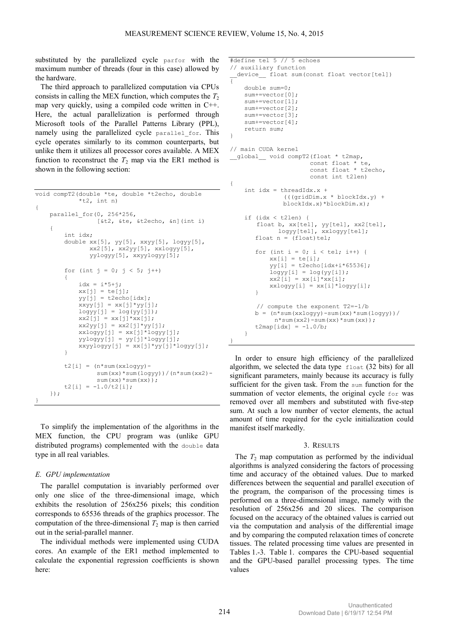substituted by the parallelized cycle parfor with the maximum number of threads (four in this case) allowed by the hardware.

The third approach to parallelized computation via CPUs consists in calling the MEX function, which computes the  $T_2$ map very quickly, using a compiled code written in C++. Here, the actual parallelization is performed through Microsoft tools of the Parallel Patterns Library (PPL), namely using the parallelized cycle parallel for. This cycle operates similarly to its common counterparts, but unlike them it utilizes all processor cores available. A MEX function to reconstruct the  $T_2$  map via the ER1 method is shown in the following section:

```
void compT2(double *te, double *t2echo, double 
             *t2, int n)
{
     parallel_for(0, 256*256, 
                    [&t2, &te, &t2echo, &n](int i)
     {
          int idx;
         double xx[5], yy[5], xxyy[5], logyy[5], 
                 xx2[5], xx2yy[5], xxlogyy[5], 
                 yylogyy[5], xxyylogyy[5];
         for (int j = 0; j < 5; j++)\left\{ \begin{array}{cc} 0 & 0 \\ 0 & 0 \end{array} \right\}idx = i*5+j;
             xx[j] = te[j];yy[j] = t2echo[idx];xxyy[j] = xx[j]*yy[j];logyy[j] = log(yy[j]);xx2[i] = xx[i]*xx[i];xx2yy[j] = xx2[j]*yy[j];xxlogyy[j] = xx[j]*logyy[j]; yylogyy[j] = yy[j]*logyy[j];
             xxyylogyy[j] = xx[j]*yy[j]*logyy[j]; }
         t2[i] = (n * sum(xxlogy) - sum(xx)*sum(logyy))/(n*sum(xx2)- 
                   sum(xx)*sum(xx));
         t2[i] = -1.0/t2[i]; });
}
```
To simplify the implementation of the algorithms in the MEX function, the CPU program was (unlike GPU distributed programs) complemented with the double data type in all real variables.

# *E. GPU implementation*

The parallel computation is invariably performed over only one slice of the three-dimensional image, which exhibits the resolution of 256x256 pixels; this condition corresponds to 65536 threads of the graphics processor. The computation of the three-dimensional  $T_2$  map is then carried out in the serial-parallel manner.

The individual methods were implemented using CUDA cores. An example of the ER1 method implemented to calculate the exponential regression coefficients is shown here:

```
#define tel 5 // 5 echoes 
// auxiliary function 
 device float sum(const float vector[tel])
{ 
     double sum=0; 
    sum+=vector[0];
     sum+=vector[1]; 
    sum+=vector[2];
     sum+=vector[3]; 
     sum+=vector[4]; 
     return sum; 
} 
// main CUDA kernel 
__global__ void compT2(float * t2map, 
                      const float * te, 
                       const float * t2echo, 
                       const int t2len) 
{ 
    int idx = threadIdx.x +
               (((gridDim.x * blockIdx.y) + 
               blockIdx.x)*blockDim.x); 
     if (idx < t2len) { 
       float b, xx[tel], yy[tel], xx2[tel], 
              logyy[tel], xxlogyy[tel]; 
       float n = (float)tel;for (int i = 0; i < tel; i++) {
xx[i] = te[i];yy[i] = t2echo[idx+i*65536];
           logyy[i] = log(yy[i]);xx2[i] = xx[i]*xx[i];xxlogyy[i] = xx[i]*logyy[i]; } 
       // compute the exponent T2=-1/b 
       b = (n * sum(xx) - sum(xx) * sum(logyy))/
            n*sum(xx2) - sum(xx)*sum(xx));
       t2map[idx] = -1.0/b; } 
}
```
In order to ensure high efficiency of the parallelized algorithm, we selected the data type float (32 bits) for all significant parameters, mainly because its accuracy is fully sufficient for the given task. From the sum function for the summation of vector elements, the original cycle for was removed over all members and substituted with five-step sum. At such a low number of vector elements, the actual amount of time required for the cycle initialization could manifest itself markedly.

#### 3. RESULTS

The  $T_2$  map computation as performed by the individual algorithms is analyzed considering the factors of processing time and accuracy of the obtained values. Due to marked differences between the sequential and parallel execution of the program, the comparison of the processing times is performed on a three-dimensional image, namely with the resolution of 256x256 and 20 slices. The comparison focused on the accuracy of the obtained values is carried out via the computation and analysis of the differential image and by comparing the computed relaxation times of concrete tissues. The related processing time values are presented in Tables 1.-3. Table 1. compares the CPU-based sequential and the GPU-based parallel processing types. The time values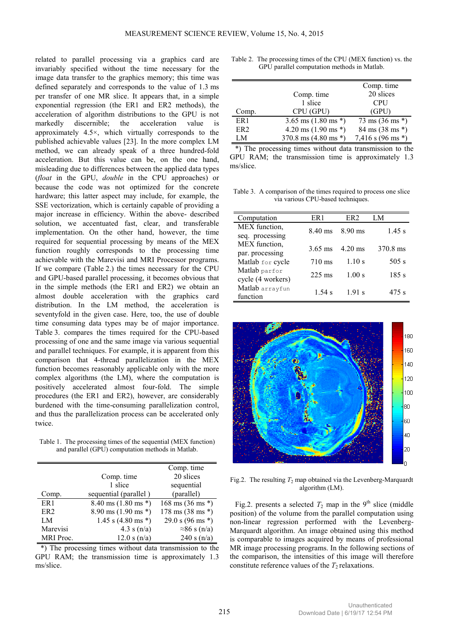related to parallel processing via a graphics card are invariably specified without the time necessary for the image data transfer to the graphics memory; this time was defined separately and corresponds to the value of 1.3 ms per transfer of one MR slice. It appears that, in a simple exponential regression (the ER1 and ER2 methods), the acceleration of algorithm distributions to the GPU is not markedly discernible; the acceleration value is approximately 4.5×, which virtually corresponds to the published achievable values [23]. In the more complex LM method, we can already speak of a three hundred-fold acceleration. But this value can be, on the one hand, misleading due to differences between the applied data types (*float* in the GPU, *double* in the CPU approaches) or because the code was not optimized for the concrete hardware; this latter aspect may include, for example, the SSE vectorization, which is certainly capable of providing a major increase in efficiency. Within the above- described solution, we accentuated fast, clear, and transferable implementation. On the other hand, however, the time required for sequential processing by means of the MEX function roughly corresponds to the processing time achievable with the Marevisi and MRI Processor programs. If we compare (Table 2.) the times necessary for the CPU and GPU-based parallel processing, it becomes obvious that in the simple methods (the ER1 and ER2) we obtain an almost double acceleration with the graphics card distribution. In the LM method, the acceleration is seventyfold in the given case. Here, too, the use of double time consuming data types may be of major importance. Table 3. compares the times required for the CPU-based processing of one and the same image via various sequential and parallel techniques. For example, it is apparent from this comparison that 4-thread parallelization in the MEX function becomes reasonably applicable only with the more complex algorithms (the LM), where the computation is positively accelerated almost four-fold. The simple procedures (the ER1 and ER2), however, are considerably burdened with the time-consuming parallelization control, and thus the parallelization process can be accelerated only twice.

Table 1. The processing times of the sequential (MEX function) and parallel (GPU) computation methods in Matlab.

|                  |                                         | Comp. time                           |
|------------------|-----------------------------------------|--------------------------------------|
|                  | Comp. time                              | 20 slices                            |
|                  | 1 slice                                 | sequential                           |
| Comp.            | sequential (parallel)                   | (parallel)                           |
| ER <sub>1</sub>  | $8.40 \text{ ms} (1.80 \text{ ms}^*)$   | $168 \text{ ms } (36 \text{ ms }^*)$ |
| ER <sub>2</sub>  | $8.90 \text{ ms } (1.90 \text{ ms }^*)$ | $178 \text{ ms } (38 \text{ ms }^*)$ |
| LM               | 1.45 s $(4.80 \text{ ms}^*)$            | 29.0 s $(96 \text{ ms}^*)$           |
| Marevisi         | 4.3 s $(n/a)$                           | $\approx$ 86 s (n/a)                 |
| <b>MRI</b> Proc. | 12.0 s(n/a)                             | 240 s $(n/a)$                        |

\*) The processing times without data transmission to the GPU RAM; the transmission time is approximately 1.3 ms/slice.

| Table 2. The processing times of the CPU (MEX function) vs. the |
|-----------------------------------------------------------------|
| GPU parallel computation methods in Matlab.                     |

|                 |                                | Comp. time                          |
|-----------------|--------------------------------|-------------------------------------|
|                 | Comp. time                     | 20 slices                           |
|                 | 1 slice                        | <b>CPU</b>                          |
| Comp.           | CPU (GPU)                      | (GPU)                               |
| ER <sub>1</sub> | 3.65 ms $(1.80 \text{ ms}^*)$  | $73 \text{ ms } (36 \text{ ms }^*)$ |
| ER <sub>2</sub> | 4.20 ms $(1.90 \text{ ms}^*)$  | 84 ms (38 ms *)                     |
| LM              | 370.8 ms $(4.80 \text{ ms}^*)$ | 7,416 s $(96 \text{ ms}^*)$         |

\*) The processing times without data transmission to the GPU RAM; the transmission time is approximately 1.3 ms/slice.

Table 3. A comparison of the times required to process one slice via various CPU-based techniques.

| Computation       | ER 1              | ER <sub>2</sub>   | LM       |
|-------------------|-------------------|-------------------|----------|
| MEX function,     | 8.40 ms           | $8.90 \text{ ms}$ | 1.45 s   |
| seq. processing   |                   |                   |          |
| MEX function,     | $3.65 \text{ ms}$ | $4.20 \text{ ms}$ | 370.8 ms |
| par. processing   |                   |                   |          |
| Matlab for cycle  | $710 \text{ ms}$  | 1.10 s            | 505 s    |
| Matlab parfor     | $225$ ms          | 1.00 s            | 185 s    |
| cycle (4 workers) |                   |                   |          |
| Matlab arrayfun   | 1.54 s            | 191s              | 475 s    |
| function          |                   |                   |          |



Fig.2. The resulting  $T_2$  map obtained via the Levenberg-Marquardt algorithm (LM).

Fig.2. presents a selected  $T_2$  map in the 9<sup>th</sup> slice (middle position) of the volume from the parallel computation using non-linear regression performed with the Levenberg-Marquardt algorithm. An image obtained using this method is comparable to images acquired by means of professional MR image processing programs. In the following sections of the comparison, the intensities of this image will therefore constitute reference values of the  $T_2$  relaxations.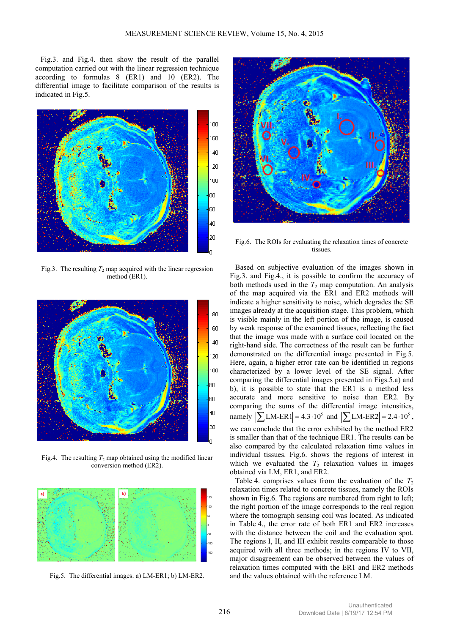Fig.3. and Fig.4. then show the result of the parallel computation carried out with the linear regression technique according to formulas 8 (ER1) and 10 (ER2). The differential image to facilitate comparison of the results is indicated in Fig.5.



Fig.3. The resulting  $T_2$  map acquired with the linear regression method (ER1).



Fig.4. The resulting  $T_2$  map obtained using the modified linear conversion method (ER2).



Fig.5. The differential images: a) LM-ER1; b) LM-ER2.



Fig.6. The ROIs for evaluating the relaxation times of concrete tissues.

Based on subjective evaluation of the images shown in Fig.3. and Fig.4., it is possible to confirm the accuracy of both methods used in the  $T_2$  map computation. An analysis of the map acquired via the ER1 and ER2 methods will indicate a higher sensitivity to noise, which degrades the SE images already at the acquisition stage. This problem, which is visible mainly in the left portion of the image, is caused by weak response of the examined tissues, reflecting the fact that the image was made with a surface coil located on the right-hand side. The correctness of the result can be further demonstrated on the differential image presented in Fig.5. Here, again, a higher error rate can be identified in regions characterized by a lower level of the SE signal. After comparing the differential images presented in Figs.5.a) and b), it is possible to state that the ER1 is a method less accurate and more sensitive to noise than ER2. By comparing the sums of the differential image intensities, namely  $|\sum_{\text{LM-ER}} 1| = 4.3 \cdot 10^5$  and  $|\sum_{\text{LM-ER}} 2| = 2.4 \cdot 10^5$ , we can conclude that the error exhibited by the method ER2 is smaller than that of the technique ER1. The results can be also compared by the calculated relaxation time values in individual tissues. Fig.6. shows the regions of interest in which we evaluated the  $T_2$  relaxation values in images obtained via LM, ER1, and ER2.

Table 4. comprises values from the evaluation of the  $T_2$ relaxation times related to concrete tissues, namely the ROIs shown in Fig.6. The regions are numbered from right to left; the right portion of the image corresponds to the real region where the tomograph sensing coil was located. As indicated in Table 4., the error rate of both ER1 and ER2 increases with the distance between the coil and the evaluation spot. The regions I, II, and III exhibit results comparable to those acquired with all three methods; in the regions IV to VII, major disagreement can be observed between the values of relaxation times computed with the ER1 and ER2 methods and the values obtained with the reference LM.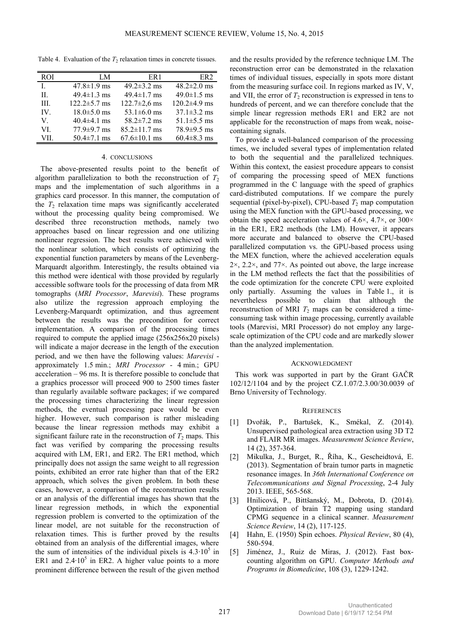Table 4. Evaluation of the  $T_2$  relaxation times in concrete tissues.

| <b>ROI</b>   | LM                 | ER <sub>1</sub>    | ER <sub>2</sub>    |
|--------------|--------------------|--------------------|--------------------|
| $\mathbf{I}$ | $47.8 \pm 1.9$ ms  | 49.2 $\pm$ 3.2 ms  | $48.2 \pm 2.0$ ms  |
| H.           | $49.4 \pm 1.3$ ms  | $49.4 \pm 1.7$ ms  | $49.0 \pm 1.5$ ms  |
| III.         | $122.2 \pm 5.7$ ms | $122.7 \pm 2.6$ ms | $120.2 \pm 4.9$ ms |
| IV.          | $18.0 \pm 5.0$ ms  | 53.1 $\pm$ 6.0 ms  | $37.1 \pm 3.2$ ms  |
| V.           | $40.4\pm4.1$ ms    | $58.2 \pm 7.2$ ms  | $51.1 \pm 5.5$ ms  |
| VI           | $77.9 \pm 9.7$ ms  | $85.2 \pm 11.7$ ms | 78.9±9.5 ms        |
| VII.         | $50.4 \pm 7.1$ ms  | $67.6 \pm 10.1$ ms | $60.4 \pm 8.3$ ms  |

#### 4. CONCLUSIONS

The above-presented results point to the benefit of algorithm parallelization to both the reconstruction of  $T_2$ maps and the implementation of such algorithms in a graphics card processor. In this manner, the computation of the  $T_2$  relaxation time maps was significantly accelerated without the processing quality being compromised. We described three reconstruction methods, namely two approaches based on linear regression and one utilizing nonlinear regression. The best results were achieved with the nonlinear solution, which consists of optimizing the exponential function parameters by means of the Levenberg-Marquardt algorithm. Interestingly, the results obtained via this method were identical with those provided by regularly accessible software tools for the processing of data from MR tomographs (*MRI Processor*, *Marevisi*). These programs also utilize the regression approach employing the Levenberg-Marquardt optimization, and thus agreement between the results was the precondition for correct implementation. A comparison of the processing times required to compute the applied image (256x256x20 pixels) will indicate a major decrease in the length of the execution period, and we then have the following values: *Marevisi* approximately 1.5 min.; *MRI Processor* - 4 min.; GPU acceleration – 96 ms. It is therefore possible to conclude that a graphics processor will proceed 900 to 2500 times faster than regularly available software packages; if we compared the processing times characterizing the linear regression methods, the eventual processing pace would be even higher. However, such comparison is rather misleading because the linear regression methods may exhibit a significant failure rate in the reconstruction of  $T_2$  maps. This fact was verified by comparing the processing results acquired with LM, ER1, and ER2. The ER1 method, which principally does not assign the same weight to all regression points, exhibited an error rate higher than that of the ER2 approach, which solves the given problem. In both these cases, however, a comparison of the reconstruction results or an analysis of the differential images has shown that the linear regression methods, in which the exponential regression problem is converted to the optimization of the linear model, are not suitable for the reconstruction of relaxation times. This is further proved by the results obtained from an analysis of the differential images, where the sum of intensities of the individual pixels is  $4.3 \cdot 10^5$  in ER1 and  $2.4 \cdot 10^5$  in ER2. A higher value points to a more prominent difference between the result of the given method

and the results provided by the reference technique LM. The reconstruction error can be demonstrated in the relaxation times of individual tissues, especially in spots more distant from the measuring surface coil. In regions marked as IV, V, and VII, the error of  $T_2$  reconstruction is expressed in tens to hundreds of percent, and we can therefore conclude that the simple linear regression methods ER1 and ER2 are not applicable for the reconstruction of maps from weak, noisecontaining signals.

To provide a well-balanced comparison of the processing times, we included several types of implementation related to both the sequential and the parallelized techniques. Within this context, the easiest procedure appears to consist of comparing the processing speed of MEX functions programmed in the C language with the speed of graphics card-distributed computations. If we compare the purely sequential (pixel-by-pixel), CPU-based  $T_2$  map computation using the MEX function with the GPU-based processing, we obtain the speed acceleration values of 4.6 $\times$ , 4.7 $\times$ , or 300 $\times$ in the ER1, ER2 methods (the LM). However, it appears more accurate and balanced to observe the CPU-based parallelized computation vs. the GPU-based process using the MEX function, where the achieved acceleration equals 2×, 2.2×, and 77×. As pointed out above, the large increase in the LM method reflects the fact that the possibilities of the code optimization for the concrete CPU were exploited only partially. Assuming the values in Table 1., it is nevertheless possible to claim that although the reconstruction of MRI  $T_2$  maps can be considered a timeconsuming task within image processing, currently available tools (Marevisi, MRI Processor) do not employ any largescale optimization of the CPU code and are markedly slower than the analyzed implementation.

#### ACKNOWLEDGMENT

This work was supported in part by the Grant GAČR 102/12/1104 and by the project CZ.1.07/2.3.00/30.0039 of Brno University of Technology.

# **REFERENCES**

- [1] Dvořák, P., Bartušek, K., Smékal, Z. (2014). Unsupervised pathological area extraction using 3D T2 and FLAIR MR images. *Measurement Science Review*, 14 (2), 357-364.
- [2] Mikulka, J., Burget, R., Říha, K., Gescheidtová, E. (2013). Segmentation of brain tumor parts in magnetic resonance images. In *36th International Conference on Telecommunications and Signal Processing*, 2-4 July 2013. IEEE, 565-568.
- [3] Hnilicová, P., Bittšanský, M., Dobrota, D. (2014). Optimization of brain T2 mapping using standard CPMG sequence in a clinical scanner. *Measurement Science Review*, 14 (2), 117-125.
- [4] Hahn, E. (1950) Spin echoes. *Physical Review*, 80 (4), 580-594.
- [5] Jiménez, J., Ruiz de Miras, J. (2012). Fast boxcounting algorithm on GPU. *Computer Methods and Programs in Biomedicine*, 108 (3), 1229-1242.